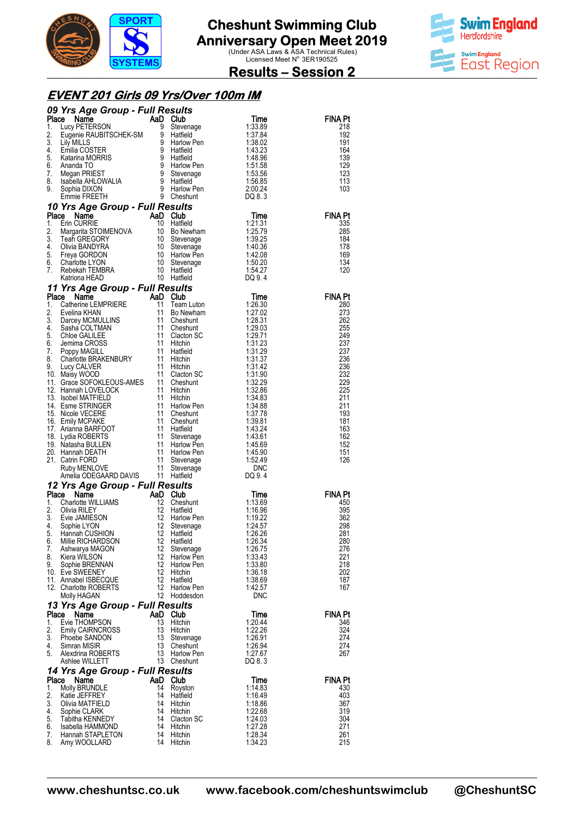



**Results – Session 2** 

### **EVENT 201 Girls 09 Yrs/Over 100m IM**

|             | 09 Yrs Age Group - Full Results<br><b>9 Yrs Age Group - Full Results<br/> ace Name AaD Club<br/> Lucy PETERSON 9 Stevenage<br/> Eugenie RAUBITSCHEK-SM 9 Hatfield<br/> Lily MILLS<br/> Lily MILLS<br/> Emilia COSTER 9 Hatfield<br/> Katarina MORRIS 9 Hatfield<br/> Ananda TO 9 Stevenage<br/> Isabell</b>   |          |                              |                                                          |                       |
|-------------|---------------------------------------------------------------------------------------------------------------------------------------------------------------------------------------------------------------------------------------------------------------------------------------------------------------|----------|------------------------------|----------------------------------------------------------|-----------------------|
| Place<br>1. |                                                                                                                                                                                                                                                                                                               |          |                              | Time<br>1:33.89                                          | <b>FINA Pt</b><br>218 |
| 2.          |                                                                                                                                                                                                                                                                                                               |          |                              | 1:37.84                                                  | 192                   |
| 3.          |                                                                                                                                                                                                                                                                                                               |          |                              | 1:38.02                                                  | 191                   |
| 4.          |                                                                                                                                                                                                                                                                                                               |          |                              | 1:43.23                                                  | 164                   |
| 5.          |                                                                                                                                                                                                                                                                                                               |          |                              | 1:48.96                                                  | 139                   |
| 6.<br>7.    |                                                                                                                                                                                                                                                                                                               |          |                              | 1:51.58<br>1:53.56<br>1:56.85                            | 129<br>123            |
| 8.          |                                                                                                                                                                                                                                                                                                               |          |                              | 1:56.85                                                  | 113                   |
| 9.          |                                                                                                                                                                                                                                                                                                               |          |                              | 2.00.24<br>DQ 8.3                                        | 103                   |
|             |                                                                                                                                                                                                                                                                                                               |          |                              |                                                          |                       |
|             | 10 Yrs Age Group - Full Results<br>Emine The Concept of Time<br>Scribe Croup - Full Results<br>Ce Name AaD Club<br>Erin CURRIE 10 Hatfield<br>Time<br>Time<br>Time<br>Time<br>Cause 10 Hatfield<br>1:21.31<br>Margarita STOIMENOVA 10 Stevenage<br>Time<br>Time<br>Time<br>1:25.79<br>Teah GREG<br>Place Name |          |                              |                                                          | <b>FINA Pt</b>        |
| 1.          |                                                                                                                                                                                                                                                                                                               |          |                              |                                                          | 335                   |
| 2.          |                                                                                                                                                                                                                                                                                                               |          |                              |                                                          | 285                   |
| 3.          |                                                                                                                                                                                                                                                                                                               |          |                              |                                                          | 184                   |
| 4.<br>5.    |                                                                                                                                                                                                                                                                                                               |          |                              |                                                          | 178<br>169            |
| 6.          |                                                                                                                                                                                                                                                                                                               |          |                              |                                                          | 134                   |
| 7.          |                                                                                                                                                                                                                                                                                                               |          |                              |                                                          | 120                   |
|             |                                                                                                                                                                                                                                                                                                               |          |                              |                                                          |                       |
|             | Franchischer China Health (1974)<br><b>17 Yrs Age Group - Full Results</b><br>10 Hatfield<br>10 Hatfield<br>10 Gibtherine EMPRIERE and Club<br>11 Teneshunt<br>11 Cheshunt<br>11 Cheshunt<br>11 Cheshunt<br>11 Cheshunt<br>11 Cheshunt<br>11 Cheshunt<br>11                                                   |          |                              |                                                          |                       |
|             |                                                                                                                                                                                                                                                                                                               |          |                              |                                                          | <b>FINA Pt</b><br>280 |
|             |                                                                                                                                                                                                                                                                                                               |          |                              |                                                          | 273                   |
|             |                                                                                                                                                                                                                                                                                                               |          |                              |                                                          | 262                   |
|             |                                                                                                                                                                                                                                                                                                               |          |                              |                                                          | 255                   |
|             |                                                                                                                                                                                                                                                                                                               |          |                              |                                                          | 249<br>237            |
|             |                                                                                                                                                                                                                                                                                                               |          |                              |                                                          | 237                   |
|             |                                                                                                                                                                                                                                                                                                               |          |                              |                                                          | 236                   |
|             |                                                                                                                                                                                                                                                                                                               |          |                              |                                                          | 236<br>232            |
|             |                                                                                                                                                                                                                                                                                                               |          |                              |                                                          | 229                   |
|             |                                                                                                                                                                                                                                                                                                               |          |                              |                                                          | 225                   |
|             |                                                                                                                                                                                                                                                                                                               |          |                              |                                                          | 211                   |
|             |                                                                                                                                                                                                                                                                                                               |          |                              |                                                          | 211<br>193            |
|             |                                                                                                                                                                                                                                                                                                               |          |                              |                                                          | 181                   |
|             |                                                                                                                                                                                                                                                                                                               |          |                              |                                                          | 163                   |
|             |                                                                                                                                                                                                                                                                                                               |          |                              |                                                          | 162                   |
|             |                                                                                                                                                                                                                                                                                                               |          |                              |                                                          | 152<br>151            |
|             |                                                                                                                                                                                                                                                                                                               |          |                              |                                                          | 126                   |
|             |                                                                                                                                                                                                                                                                                                               |          |                              |                                                          |                       |
|             |                                                                                                                                                                                                                                                                                                               |          |                              |                                                          |                       |
|             | Ruby MENLOVE<br>Amelia ODEGAARD DAVIS 11 Hauren<br><b>12 Yrs Age Group - Full Results<br/> Place Name AaD Club</b><br>Charlotte WILLIAMS 12 Cheshunt<br>12 Hatfield                                                                                                                                           |          |                              |                                                          |                       |
|             | <b>Commet Commet Commet Commet Commet Commet Commet Commet Commet Commet Commet Commet Commet Commet Commet Commet Commet Commet Commet Commet Commet Commet Commet Commet Commet Commet Commet Commet Commet Commet Commet Comm</b>                                                                          |          |                              | Time<br>Time<br>1:13.69<br>1:16.96<br>1:19.22<br>1:24.57 | <b>FINA Pt</b><br>450 |
|             |                                                                                                                                                                                                                                                                                                               |          |                              |                                                          | 395                   |
| 3.          |                                                                                                                                                                                                                                                                                                               |          |                              |                                                          | 362                   |
| 4.          |                                                                                                                                                                                                                                                                                                               |          |                              |                                                          | 298                   |
| 5.          | 6. Millie RICHARDSON 12 Hatfield                                                                                                                                                                                                                                                                              |          |                              | 1:26.26<br>1:26.34                                       | 281<br>280            |
| 7.          | Ashwarya MAGON                                                                                                                                                                                                                                                                                                | 12       | Stevenage                    | 1:26.75                                                  | 276                   |
| 8.          | Kiera WILSON                                                                                                                                                                                                                                                                                                  | 12       | Harlow Pen                   | 1:33.43                                                  | 221                   |
| 9.          | Sophie BRENNAN<br>10. Eve SWEENEY                                                                                                                                                                                                                                                                             | 12<br>12 | <b>Harlow Pen</b><br>Hitchin | 1:33.80<br>1:36.18                                       | 218<br>202            |
|             | 11. Annabel ISBECQUE                                                                                                                                                                                                                                                                                          | 12       | Hatfield                     | 1:38.69                                                  | 187                   |
|             | 12. Charlotte ROBERTS                                                                                                                                                                                                                                                                                         | 12       | Harlow Pen                   | 1:42.57                                                  | 167                   |
|             | Molly HAGAN                                                                                                                                                                                                                                                                                                   |          | 12 Hoddesdon                 | <b>DNC</b>                                               |                       |
|             | 13 Yrs Age Group - Full Results                                                                                                                                                                                                                                                                               |          |                              |                                                          |                       |
| Place<br>1. | Name<br>Evie THOMPSON                                                                                                                                                                                                                                                                                         | 13       | AaD Club<br>Hitchin          | Time<br>1:20.44                                          | <b>FINA Pt</b><br>346 |
| 2.          | <b>Emily CAIRNCROSS</b>                                                                                                                                                                                                                                                                                       | 13       | Hitchin                      | 1:22.26                                                  | 324                   |
| 3.          | Phoebe SANDON                                                                                                                                                                                                                                                                                                 | 13       | Stevenage                    | 1:26.91                                                  | 274                   |
| 4.          | Simran MISIR                                                                                                                                                                                                                                                                                                  | 13       | Cheshunt                     | 1:26.94                                                  | 274                   |
| 5.          | Alexdrina ROBERTS<br>Ashlee WILLETT                                                                                                                                                                                                                                                                           | 13       | Harlow Pen<br>13 Cheshunt    | 1:27.67<br>DQ 8.3                                        | 267                   |
|             | 14 Yrs Age Group - Full Results                                                                                                                                                                                                                                                                               |          |                              |                                                          |                       |
| Place       | Name                                                                                                                                                                                                                                                                                                          |          | AaD Club                     | Time                                                     | <b>FINA Pt</b>        |
| 1.          | Molly BRUNDLE                                                                                                                                                                                                                                                                                                 | 14       | Royston                      | 1:14.83                                                  | 430                   |
| 2.<br>3.    | Katie JEFFREY<br>Olivia MATFIELD                                                                                                                                                                                                                                                                              | 14<br>14 | Hatfield<br>Hitchin          | 1:16.49<br>1:18.86                                       | 403<br>367            |
| 4.          | Sophie CLARK                                                                                                                                                                                                                                                                                                  | 14       | Hitchin                      | 1:22.68                                                  | 319                   |
| 5.          | Tabitha KENNEDY                                                                                                                                                                                                                                                                                               | 14       | Clacton SC                   | 1:24.03                                                  | 304                   |
| 6.          | Isabella HAMMOND                                                                                                                                                                                                                                                                                              | 14       | Hitchin                      | 1:27.28                                                  | 271                   |
| 7.<br>8.    | Hannah STAPLETON<br>Amy WOOLLARD                                                                                                                                                                                                                                                                              |          | 14 Hitchin<br>14 Hitchin     | 1:28.34<br>1:34.23                                       | 261<br>215            |
|             |                                                                                                                                                                                                                                                                                                               |          |                              |                                                          |                       |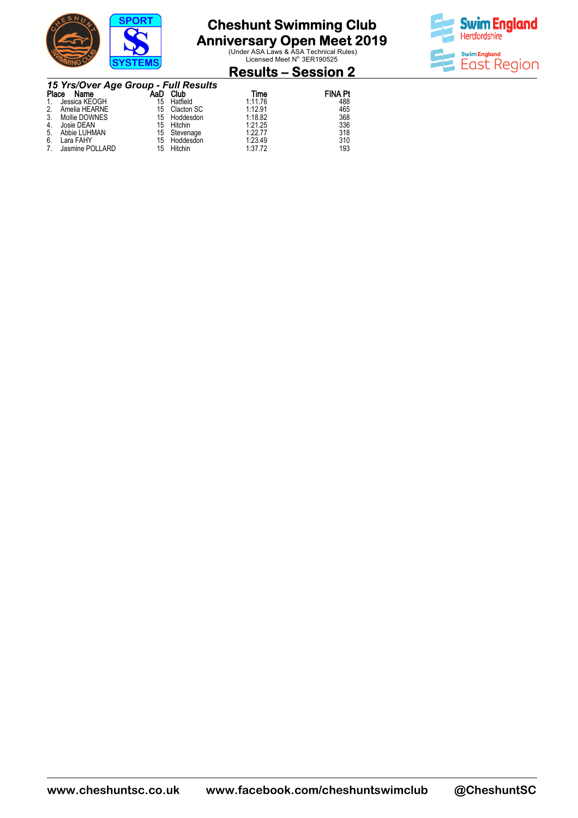

**Anniversary Open Meet 2019**<br>
Under ASA Laws & ASA Technical Rules)<br>
Licensed Meet N<sup>o.</sup> 3ER190525



#### **Results – Session 2**

|       | 15 Yrs/Over Age Group - Full Results |     |               |         |                |
|-------|--------------------------------------|-----|---------------|---------|----------------|
| Place | Name                                 | AaD | Club          | Time    | <b>FINA Pt</b> |
|       | Jessica KEOGH                        | 15  | Hatfield      | 1:11.76 | 488            |
|       | Amelia HEARNE                        |     | 15 Clacton SC | 1:12.91 | 465            |
|       | Mollie DOWNES                        |     | 15 Hoddesdon  | 1:18.82 | 368            |
|       | Josie DEAN                           | 15  | Hitchin       | 1.21.25 | 336            |
| 5.    | Abbie LUHMAN                         |     | 15 Stevenage  | 1:22.77 | 318            |
| 6.    | Lara FAHY                            | 15  | Hoddesdon     | 1.23.49 | 310            |
|       | Jasmine POLLARD                      | 15  | Hitchin       | 1.37.72 | 193            |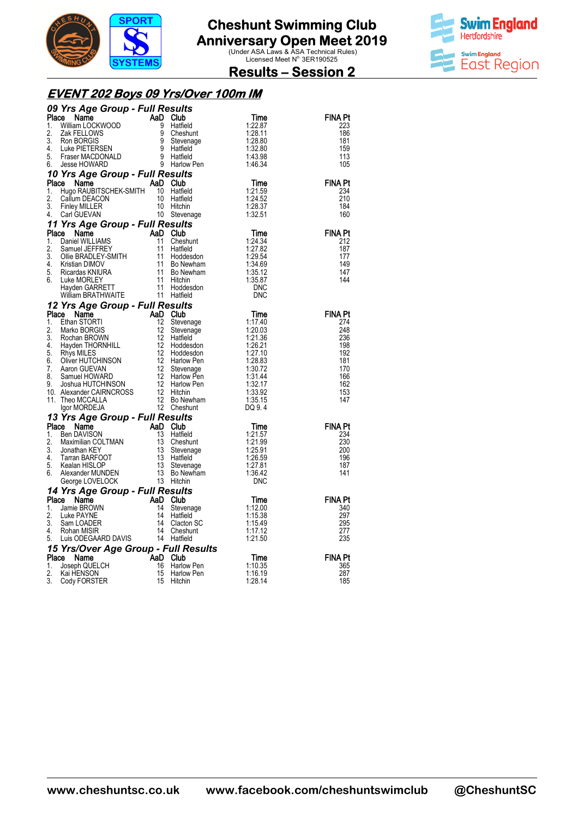



**Results – Session 2** 

### **EVENT 202 Boys 09 Yrs/Over 100m IM**

|                               | <b>09 Yrs Age Group - Full Results<br/> Place Name AaD Club<br/> 1. William LOCKWOOD 9 Hatfield<br/> 2. Zak FELLOWS 9 Cheshunt<br/> 3. Ron BORGIS 9 Stevenage<br/> 4. Luke PIETERSEN 9 Hatfield<br/> 5. Fraser MACDONALD 9 Hatfield<br/> 6. Jesse HOWARD 9 H</b> |  | Time<br>1:22.87<br>1:28.11<br>1:28.80<br>1.32.80<br>1:43.98 | FINA Pt<br>223<br>186<br>181<br>159<br>113                                                  |
|-------------------------------|------------------------------------------------------------------------------------------------------------------------------------------------------------------------------------------------------------------------------------------------------------------|--|-------------------------------------------------------------|---------------------------------------------------------------------------------------------|
|                               |                                                                                                                                                                                                                                                                  |  | 1:46.34                                                     | 105                                                                                         |
|                               |                                                                                                                                                                                                                                                                  |  |                                                             |                                                                                             |
| Place<br>1.<br>2.<br>3.<br>4. | <b>Yrs Age Group - Full Results<br/> ce Name AaD Club<br/> Hugo RAUBITSCHEK-SMITH 10 Hatfield<br/> Callum DEACON 10 Hatfield<br/> Finley MILLER 10 Hitchin<br/> Carl GUEVAN 10 Stevenage</b>                                                                     |  | Time<br>1:21.59<br>1:24.52<br>1:28.37<br>1:32.51            | <b>FINA Pt</b><br>234<br>210<br>184<br>160                                                  |
|                               |                                                                                                                                                                                                                                                                  |  |                                                             |                                                                                             |
|                               |                                                                                                                                                                                                                                                                  |  |                                                             | <b>FINA Pt</b><br>212<br>187<br>177<br>149<br>147<br>144                                    |
|                               |                                                                                                                                                                                                                                                                  |  |                                                             |                                                                                             |
|                               | 3. Finite Windows 11 Stevenage<br>14. Carl GUEVAN<br>16. Stevenage<br>17 Yrs Age Group - Full Results<br>16. Daniel MELIAMS<br>2. Samuel JEFFREY<br>11 Cheshunt<br>11 Hotels 11 1205.54<br>2. Samuel JEFFREY<br>11 Hotels 11 Bo Newham<br>5. Ricar               |  |                                                             | <b>FINA Pt</b><br>274<br>248<br>236<br>198<br>192<br>181<br>170<br>166<br>162<br>153<br>147 |
|                               |                                                                                                                                                                                                                                                                  |  |                                                             | <b>FINA Pt</b>                                                                              |
|                               | 11. Inter Muchant Miss Corp 11 <b>Control Control Control Control Control Control Control Control Control Control Control Control Control Control Control Control Control Control Control Control Control Control Control Contr</b>                              |  |                                                             | 234<br>230<br>200<br>196<br>187<br>141                                                      |
|                               |                                                                                                                                                                                                                                                                  |  |                                                             | <b>FINA Pt</b>                                                                              |
|                               |                                                                                                                                                                                                                                                                  |  |                                                             | 340<br>297<br>295<br>277<br>235                                                             |
|                               |                                                                                                                                                                                                                                                                  |  |                                                             |                                                                                             |
|                               |                                                                                                                                                                                                                                                                  |  |                                                             | FINA Pt<br>365<br>287<br>185                                                                |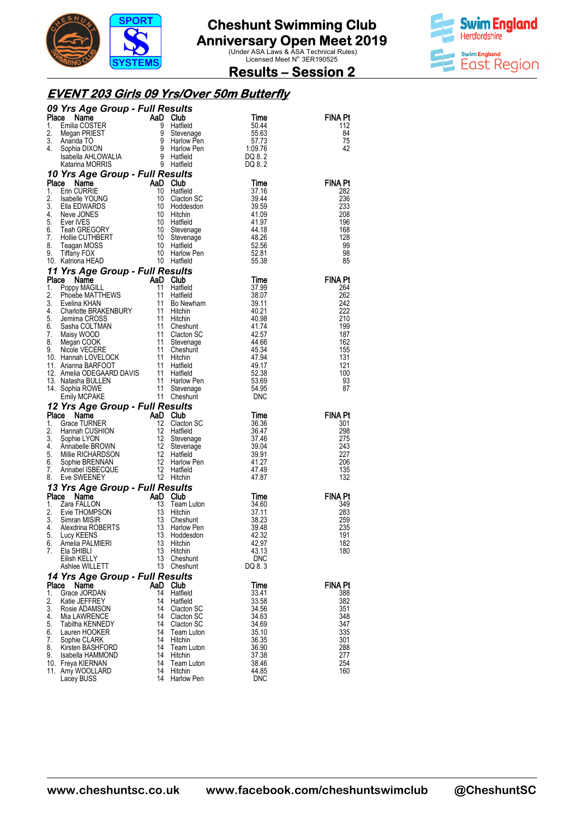



### **Results – Session 2**

#### **EVENT 203 Girls 09 Yrs/Over 50m Butterfly**

|          | <b>09 Yrs Age Group - Full Results<br/> Time<br/> 1. Emilia COSTER<br/> 1. Emilia COSTER<br/> 1. Sophia DIXON<br/> 1. Sophia DIXON<br/> 1. Sophia DIXON<br/> 1. Sophia DIXON<br/> 1. Sophia DIXON<br/> 1. Sophia DIXON<br/> 1. Sophia DIXON<br/> 1. Sophia MCRRIS<br/> 1. Sophia</b> |          |                        |                                                     |                |
|----------|--------------------------------------------------------------------------------------------------------------------------------------------------------------------------------------------------------------------------------------------------------------------------------------|----------|------------------------|-----------------------------------------------------|----------------|
|          |                                                                                                                                                                                                                                                                                      |          |                        |                                                     | <b>FINA Pt</b> |
|          |                                                                                                                                                                                                                                                                                      |          |                        |                                                     | 112<br>84      |
|          |                                                                                                                                                                                                                                                                                      |          |                        |                                                     | 75             |
|          |                                                                                                                                                                                                                                                                                      |          |                        |                                                     | 42             |
|          |                                                                                                                                                                                                                                                                                      |          |                        |                                                     |                |
|          | Katarina MORKIS<br><b>10 Yrs Age Group - Full Results</b><br><b>1.</b> Erin CURRIE AaD Club<br>1. Erin CURRIE 10 Haffield<br>2. Isabelle YOUNG 10 Clacton SC<br>3. Ella EDWARDS 10 Hiddesdon<br>4. New JONES 10 Hiddesdon<br>4. New JONES 10 Hiddesdon                               |          |                        |                                                     |                |
|          |                                                                                                                                                                                                                                                                                      |          |                        | Time                                                | <b>FINA Pt</b> |
|          |                                                                                                                                                                                                                                                                                      |          |                        | 37.16                                               | 282            |
|          |                                                                                                                                                                                                                                                                                      |          |                        | 39.44                                               | 236            |
|          |                                                                                                                                                                                                                                                                                      |          |                        | 39.59<br>41.09                                      | 233<br>208     |
|          |                                                                                                                                                                                                                                                                                      |          |                        |                                                     | 196            |
|          |                                                                                                                                                                                                                                                                                      |          |                        |                                                     | 168            |
|          |                                                                                                                                                                                                                                                                                      |          |                        |                                                     | 128            |
|          |                                                                                                                                                                                                                                                                                      |          |                        | $41.97$<br>$44.18$<br>$48.26$<br>$52.56$<br>$52.81$ | 99<br>98       |
|          |                                                                                                                                                                                                                                                                                      |          |                        | 55.38                                               | 85             |
|          | 10. Katriona HEAD 10 Hatfield<br><b>11 Yrs Age Group - Full Results</b><br><b>Place Name AaD Club</b><br>1. Poppy MAGILL 11 Hatfield<br>2. Phoebe MATTHEWS 11 Hatfield<br>3. Evelina KHAN 11 Bo Newham<br>4. Charlotte BRAKENBURY 11 Hitchin<br>5. Jem                               |          |                        |                                                     |                |
|          |                                                                                                                                                                                                                                                                                      |          |                        | Time                                                | <b>FINA Pt</b> |
|          |                                                                                                                                                                                                                                                                                      |          |                        | 37.99                                               | 264            |
|          |                                                                                                                                                                                                                                                                                      |          |                        | 38.07                                               | 262<br>242     |
|          |                                                                                                                                                                                                                                                                                      |          |                        | 39.07<br>39.11<br>40.21<br>40.98                    | 222            |
|          |                                                                                                                                                                                                                                                                                      |          |                        |                                                     | 210            |
|          |                                                                                                                                                                                                                                                                                      |          |                        |                                                     | 199            |
|          |                                                                                                                                                                                                                                                                                      |          |                        | 41.74<br>42.57<br>44.66                             | 187<br>162     |
|          |                                                                                                                                                                                                                                                                                      |          |                        |                                                     | 155            |
|          |                                                                                                                                                                                                                                                                                      |          |                        | 45.34<br>47.94<br>49.17                             | 131            |
|          |                                                                                                                                                                                                                                                                                      |          |                        |                                                     | 121            |
|          |                                                                                                                                                                                                                                                                                      |          |                        | 52.38<br>53.69                                      | 100<br>93      |
|          |                                                                                                                                                                                                                                                                                      |          |                        | 54.95                                               | 87             |
|          |                                                                                                                                                                                                                                                                                      |          |                        | <b>DNC</b>                                          |                |
|          | Emily MCPAKE 11 Cheshunt<br>12 Yrs Age Group - Full Results<br>Place Name AaD Club<br>1. Grace TURNER 12 Clacton SC<br>2. Hannah CUSHION 12 Hatfield<br>3. Sophie LYON 12 Stevenage<br>4. Annabelle BROWN 12 Stevenage<br>5. Millie RICHARDS                                         |          |                        |                                                     |                |
|          |                                                                                                                                                                                                                                                                                      |          |                        | Time                                                | <b>FINA Pt</b> |
|          |                                                                                                                                                                                                                                                                                      |          |                        | 36.36<br>36.47                                      | 301<br>298     |
|          |                                                                                                                                                                                                                                                                                      |          |                        | 37.46                                               | 275            |
|          |                                                                                                                                                                                                                                                                                      |          |                        | 39.04                                               | 243            |
|          |                                                                                                                                                                                                                                                                                      |          |                        | 39.91                                               | 227            |
|          |                                                                                                                                                                                                                                                                                      |          |                        | 41.27<br>47.49                                      | 206<br>135     |
|          |                                                                                                                                                                                                                                                                                      |          |                        | 47.87                                               | 132            |
|          |                                                                                                                                                                                                                                                                                      |          |                        |                                                     |                |
|          |                                                                                                                                                                                                                                                                                      |          |                        | Time                                                | <b>FINA Pt</b> |
|          |                                                                                                                                                                                                                                                                                      |          |                        | 34.60                                               | 349            |
|          |                                                                                                                                                                                                                                                                                      |          |                        | 37.11<br>38.23                                      | 283<br>259     |
|          |                                                                                                                                                                                                                                                                                      |          |                        | 39.48                                               | 235            |
|          |                                                                                                                                                                                                                                                                                      |          |                        | 42.32                                               | 191            |
| 6.<br>7. | Amelia PALMIERI<br>Ela SHIBLI                                                                                                                                                                                                                                                        | 13<br>13 | Hitchin<br>Hitchin     | 42.97<br>43.13                                      | 182<br>180     |
|          | Eilish KELLY                                                                                                                                                                                                                                                                         | 13       | Cheshunt               | <b>DNC</b>                                          |                |
|          | Ashlee WILLETT                                                                                                                                                                                                                                                                       | 13       | Cheshunt               | DQ 8.3                                              |                |
|          | 14 Yrs Age Group - Full Results                                                                                                                                                                                                                                                      |          |                        |                                                     |                |
| Place    | Name                                                                                                                                                                                                                                                                                 | AaD Club |                        | Time                                                | <b>FINA Pt</b> |
| 1.       | Grace JORDAN                                                                                                                                                                                                                                                                         | 14       | Hatfield               | 33.41                                               | 388            |
| 2.<br>3. | Katie JEFFREY<br>Rosie ADAMSON                                                                                                                                                                                                                                                       | 14<br>14 | Hatfield<br>Clacton SC | 33.58<br>34.56                                      | 382<br>351     |
| 4.       | Mia LAWRENCE                                                                                                                                                                                                                                                                         | 14       | <b>Clacton SC</b>      | 34.63                                               | 348            |
| 5.       | Tabitha KENNEDY                                                                                                                                                                                                                                                                      | 14       | Clacton SC             | 34.69                                               | 347            |
|          |                                                                                                                                                                                                                                                                                      | 14       | Team Luton             | 35.10                                               | 335            |
| 6.       | Lauren HOOKER                                                                                                                                                                                                                                                                        |          |                        |                                                     |                |
| 7.       | Sophie CLARK                                                                                                                                                                                                                                                                         | 14       | Hitchin                | 36.35                                               | 301            |
| 8.<br>9. | Kirsten BASHFORD<br>Isabella HAMMOND                                                                                                                                                                                                                                                 | 14<br>14 | Team Luton<br>Hitchin  | 36.90<br>37.38                                      | 288<br>277     |
|          | 10. Freya KIERNAN                                                                                                                                                                                                                                                                    | 14       | Team Luton             | 38.46                                               | 254            |
|          | 11. Amy WOOLLARD<br>Lacey BUSS                                                                                                                                                                                                                                                       | 14<br>14 | Hitchin<br>Harlow Pen  | 44.85<br><b>DNC</b>                                 | 160            |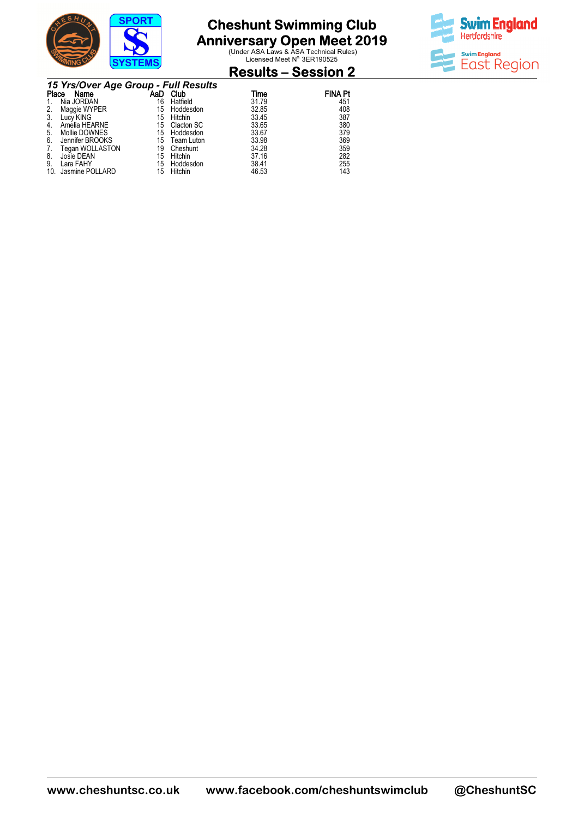

**Anniversary Open Meet 2019**<br>
Under ASA Laws & ASA Technical Rules)<br>
Licensed Meet N<sup>o.</sup> 3ER190525



#### **Results – Session 2**

|       | 15 Yrs/Over Age Group - Full Results |     |            |       |                |  |  |  |  |
|-------|--------------------------------------|-----|------------|-------|----------------|--|--|--|--|
| Place | Name                                 | AaD | Club       | Time  | <b>FINA Pt</b> |  |  |  |  |
|       | Nia JORDAN                           | 16  | Hatfield   | 31.79 | 451            |  |  |  |  |
| 2.    | Maggie WYPER                         | 15  | Hoddesdon  | 32.85 | 408            |  |  |  |  |
| 3.    | Lucy KING                            | 15  | Hitchin    | 33.45 | 387            |  |  |  |  |
| 4.    | Amelia HEARNE                        | 15  | Clacton SC | 33.65 | 380            |  |  |  |  |
| 5.    | Mollie DOWNES                        | 15  | Hoddesdon  | 33.67 | 379            |  |  |  |  |
| 6.    | Jennifer BROOKS                      | 15  | Team Luton | 33.98 | 369            |  |  |  |  |
|       | Tegan WOLLASTON                      | 19  | Cheshunt   | 34.28 | 359            |  |  |  |  |
| 8.    | Josie DEAN                           | 15  | Hitchin    | 37.16 | 282            |  |  |  |  |
| 9.    | Lara FAHY                            | 15  | Hoddesdon  | 38.41 | 255            |  |  |  |  |
| 10.   | Jasmine POLLARD                      | 15  | Hitchin    | 46.53 | 143            |  |  |  |  |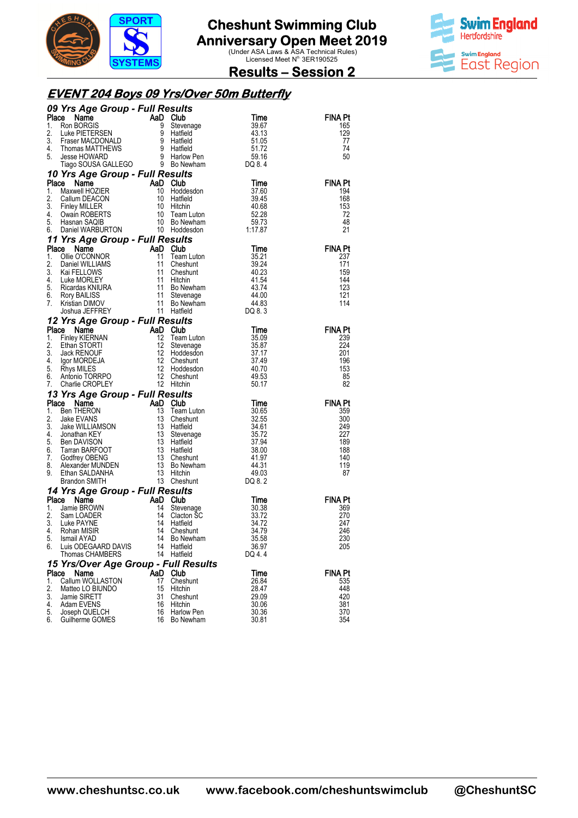



#### **Results – Session 2**

#### **EVENT 204 Boys 09 Yrs/Over 50m Butterfly**

|          | 09 Yrs Age Group - Full Results                                                                                                                                                                                                                               |          |                                                  |                 |                |
|----------|---------------------------------------------------------------------------------------------------------------------------------------------------------------------------------------------------------------------------------------------------------------|----------|--------------------------------------------------|-----------------|----------------|
| Place    |                                                                                                                                                                                                                                                               |          |                                                  | Time            | FINA Pt        |
| 1.<br>2. |                                                                                                                                                                                                                                                               |          |                                                  | 39.67<br>43.13  | 165<br>129     |
| 3.       |                                                                                                                                                                                                                                                               |          |                                                  | 51.05           | 77             |
| 4.       |                                                                                                                                                                                                                                                               |          |                                                  | 51.72           | 74             |
| 5.       |                                                                                                                                                                                                                                                               |          |                                                  | 59.16           | 50             |
|          | <b>Yrs Age Group - Full Results</b><br>Rom BORGIS<br>Rom BORGIS<br>Luke PIETERSEN<br>Fraser MACDONALD<br>Fraser MACDONALD<br>Fraser MACDONALD<br>Thomas MATTHEWS<br>Jesse HOWARD<br>Jesse HOWARD<br>Jesse HOWARD<br>Tago SOUSA GALLEGO<br>Tago SOUSA GALLEG   |          |                                                  | DQ 8.4          |                |
|          | 10 Yrs Age Group - Full Results<br>Place                                                                                                                                                                                                                      |          |                                                  |                 | <b>FINA Pt</b> |
| 1.       |                                                                                                                                                                                                                                                               |          |                                                  |                 | 194            |
| 2.       |                                                                                                                                                                                                                                                               |          |                                                  |                 | 168            |
| 3.       |                                                                                                                                                                                                                                                               |          |                                                  |                 | 153            |
| 4.<br>5. |                                                                                                                                                                                                                                                               |          |                                                  |                 | 72<br>48       |
| 6.       | Comparison of the Manufacture of Manufacture Manufacture Manufacture Manufacture Manufacture Manufacture 10 Hotels<br>Maxwell HOZIER 10 Hotels of 37.60<br>Callum DEACON 10 Hatfield 39.45<br>Finley MILLER 10 Hitchin 40.68<br>Owain                         |          |                                                  |                 | 21             |
|          | 11 Yrs Age Group - Full Results                                                                                                                                                                                                                               |          |                                                  |                 |                |
| Place    | <b>Prince State of AD Club</b><br>Collie OCONNOR<br>Ollie OCONNOR<br>Daniel WILLIAMS<br>Club and Club 11 Cheshunt<br>11 Cheshunt<br>40.23<br>Club and Club 11 Cheshunt<br>40.23<br>Ricardas KNIURA<br>Rory BAILISS<br>Ricardas KNIURA<br>Rory BAILISS<br>11 S |          |                                                  |                 | FINA Pt        |
| 1.       |                                                                                                                                                                                                                                                               |          |                                                  |                 | 237<br>171     |
| 2.<br>3. |                                                                                                                                                                                                                                                               |          |                                                  |                 | 159            |
| 4.       |                                                                                                                                                                                                                                                               |          |                                                  |                 | 144            |
| 5.       |                                                                                                                                                                                                                                                               |          |                                                  |                 | 123            |
| 6.<br>7. |                                                                                                                                                                                                                                                               |          |                                                  |                 | 121<br>114     |
|          |                                                                                                                                                                                                                                                               |          |                                                  |                 |                |
|          | 12 Yrs Age Group - Full Results                                                                                                                                                                                                                               |          |                                                  |                 |                |
| Place    |                                                                                                                                                                                                                                                               |          |                                                  | Time            | <b>FINA Pt</b> |
| 1.       |                                                                                                                                                                                                                                                               |          | Team Luton<br>Stevenage<br>Hoddesdon<br>Cheshunt | 35.09           | 239            |
| 2.       |                                                                                                                                                                                                                                                               |          |                                                  | 35.87           | 224            |
| 3.<br>4. |                                                                                                                                                                                                                                                               |          |                                                  | 37.17<br>37.49  | 201<br>196     |
| 5.       |                                                                                                                                                                                                                                                               |          |                                                  | 40.70           | 153            |
| 6.       |                                                                                                                                                                                                                                                               |          |                                                  | 49.53           | 85             |
| 7.       | Common<br>Ethiop KIERNAN<br>Ether STORTI<br>Finey KIERNAN<br>Ethan STORTI<br>Jack RENOUF<br>12 Hoddesdon<br>Igor MORDEJA<br>12 Cheshunt<br>Rhys MILES<br>Antonio TORRPO<br>Charle CROPLEY<br>The Cheshunt<br>Charle CROPLEY<br>The Hitchin<br>Charle CROPLEY  |          |                                                  | 50.17           | 82             |
|          | 7. Charlie CROPTLEY<br><b>13 Yrs Age Group - Full Results</b><br><b>13 Yrs Age Group - Full Results</b><br>13 Team Luton<br>13 Team Luton<br>2. Jake EVANS<br>3. Jake WILLIAMSON<br>4. Jonathan KEY<br>4. Jonathan KEY<br>4. Jonathan KEY<br>6. Tarran BARF   |          |                                                  |                 | <b>FINA Pt</b> |
|          |                                                                                                                                                                                                                                                               |          |                                                  | Time<br>30.65   | 359            |
|          |                                                                                                                                                                                                                                                               |          |                                                  | 32.55           | 300            |
|          |                                                                                                                                                                                                                                                               |          |                                                  | 34.61           | 249            |
|          |                                                                                                                                                                                                                                                               |          |                                                  | 35.72<br>37.94  | 227<br>189     |
|          |                                                                                                                                                                                                                                                               |          |                                                  | 38.00           | 188            |
|          |                                                                                                                                                                                                                                                               |          |                                                  | 41.97           | 140            |
|          |                                                                                                                                                                                                                                                               |          |                                                  | 44.31           | 119            |
|          |                                                                                                                                                                                                                                                               |          |                                                  | 49.03<br>DQ 8.2 | 87             |
|          | 14 Yrs Age Group - Full Results                                                                                                                                                                                                                               |          |                                                  |                 |                |
| Place    | Name                                                                                                                                                                                                                                                          | AaD      | Club                                             | Time            | <b>FINA Pt</b> |
| 1.       | Jamie BROWN                                                                                                                                                                                                                                                   | 14       | Stevenage                                        | 30.38           | 369            |
| 2.<br>3. | Sam LOADER<br>Luke PAYNE                                                                                                                                                                                                                                      | 14<br>14 | Clacton SC<br>Hatfield                           | 33.72<br>34.72  | 270<br>247     |
| 4.       | Rohan MISIR                                                                                                                                                                                                                                                   | 14       | Cheshunt                                         | 34.79           | 246            |
|          | 5. Ismail AYAD                                                                                                                                                                                                                                                |          | 14 Bo Newham                                     | 35.58           | 230            |
| 6.       | Luis ODEGAARD DAVIS                                                                                                                                                                                                                                           |          | 14 Hatfield                                      | 36.97           | 205            |
|          | Thomas CHAMBERS                                                                                                                                                                                                                                               | 14       | Hatfield                                         | DQ 4.4          |                |
|          | 15 Yrs/Over Age Group - Full Results<br>Place Name                                                                                                                                                                                                            |          | AaD Club                                         | Time            | <b>FINA Pt</b> |
| 1.       | Callum WOLLASTON                                                                                                                                                                                                                                              | 17       | Cheshunt                                         | 26.84           | 535            |
| 2.       | Matteo LO BIUNDO                                                                                                                                                                                                                                              | 15       | Hitchin                                          | 28.47           | 448            |
| 3.       | Jamie SIRETT                                                                                                                                                                                                                                                  | 31       | Cheshunt                                         | 29.09           | 420            |
| 4.<br>5. | Adam EVENS<br>Joseph QUELCH                                                                                                                                                                                                                                   | 16<br>16 | Hitchin<br>Harlow Pen                            | 30.06<br>30.36  | 381<br>370     |
| 6.       | Guilherme GOMES                                                                                                                                                                                                                                               | 16       | Bo Newham                                        | 30.81           | 354            |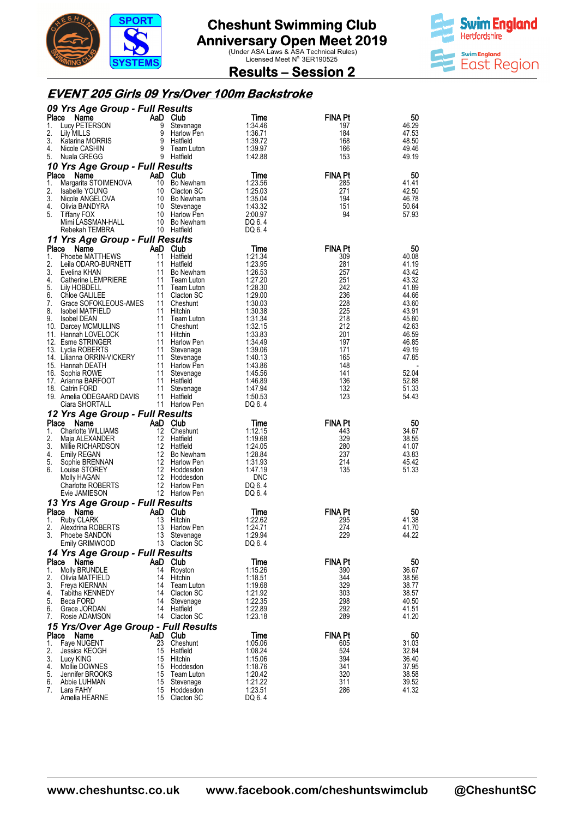



**Results – Session 2** 

### **EVENT 205 Girls 09 Yrs/Over 100m Backstroke**

|             | 09 Yrs Age Group - Full Results                 |                   |                                |                    |                       |                |
|-------------|-------------------------------------------------|-------------------|--------------------------------|--------------------|-----------------------|----------------|
| Place       | Name                                            | AaD Club          |                                | Time               | FINA Pt               | 50             |
| 1.<br>2.    | Lucy PETERSON<br>Lily MILLS                     | 9                 | Stevenage<br>9 Harlow Pen      | 1:34.46<br>1:36.71 | 197<br>184            | 46.29<br>47.53 |
| 3.          | Katarina MORRIS                                 |                   | 9 Hatfield                     | 1:39.72            | 168                   | 48.50          |
| 4.          | Nicole CASHIN                                   |                   | 9 Team Luton                   | 1:39.97            | 166                   | 49.46          |
| 5.          | Nuala GREGG                                     |                   | 9 Hatfield                     | 1:42.88            | 153                   | 49.19          |
|             | 10 Yrs Age Group - Full Results                 |                   |                                |                    |                       |                |
| Place<br>1. | Name<br>Margarita STOIMENOVA                    | AaD Club          | 10 Bo Newham                   | Time<br>1:23.56    | <b>FINA Pt</b><br>285 | 50<br>41.41    |
| 2.          | Isabelle YOUNG                                  |                   | 10 Clacton SC                  | 1:25.03            | 271                   | 42.50          |
| 3.          | Nicole ANGELOVA                                 |                   | 10 Bo Newham                   | 1:35.04            | 194                   | 46.78          |
| 4.          | Olivia BANDYRA                                  |                   | 10 Stevenage                   | 1:43.32            | 151                   | 50.64          |
| 5.          | Tiffany FOX                                     |                   | 10 Harlow Pen                  | 2:00.97            | 94                    | 57.93          |
|             | Mimi LASSMAN-HALL<br>Rebekah TEMBRA             |                   | 10 Bo Newham<br>10 Hatfield    | DQ 6.4<br>DQ 6.4   |                       |                |
|             | 11 Yrs Age Group - Full Results                 |                   |                                |                    |                       |                |
| Place       | Name                                            | AaD Club          |                                | Time               | FINA Pt               | 50             |
| 1.          | Phoebe MATTHEWS                                 | 11                | Hatfield                       | 1:21.34            | 309                   | 40.08          |
| 2.          | Leila ODARO-BURNETT                             | 11                | Hatfield                       | 1:23.95            | 281                   | 41.19          |
| 3.<br>4.    | Evelina KHAN<br>Catherine LEMPRIERE             | 11<br>11          | Bo Newham<br>Team Luton        | 1:26.53<br>1:27.20 | 257<br>251            | 43.42<br>43.32 |
| 5.          | Lily HOBDELL                                    |                   | 11 Team Luton                  | 1:28.30            | 242                   | 41.89          |
| 6.          | Chloe GALILEE                                   |                   | 11 Clacton SC                  | 1:29.00            | 236                   | 44.66          |
| 7.          | Grace SOFOKLEOUS-AMES                           |                   | 11 Cheshunt                    | 1:30.03            | 228                   | 43.60          |
| 8.<br>9.    | <b>Isobel MATFIELD</b><br><b>Isobel DEAN</b>    | 11 Hitchin        | 11 Team Luton                  | 1:30.38<br>1:31.34 | 225<br>218            | 43.91<br>45.60 |
|             | 10. Darcey MCMULLINS                            | 11                | Cheshunt                       | 1:32.15            | 212                   | 42.63          |
|             | 11. Hannah LOVELOCK                             | 11 Hitchin        |                                | 1:33.83            | 201                   | 46.59          |
|             | 12. Esme STRINGER                               |                   | 11 Harlow Pen                  | 1:34.49            | 197                   | 46.85          |
|             | 13. Lydia ROBERTS<br>14. Lilianna ORRIN-VICKERY | 11                | Stevenage<br>11 Stevenage      | 1:39.06<br>1:40.13 | 171<br>165            | 49.19<br>47.85 |
|             | 15. Hannah DEATH                                |                   | 11 Harlow Pen                  | 1:43.86            | 148                   |                |
| 16.         | Sophia ROWE                                     | 11                | Stevenage                      | 1:45.56            | 141                   | 52.04          |
|             | 17. Arianna BARFOOT                             | 11 Hatfield       |                                | 1:46.89            | 136                   | 52.88          |
|             | 18. Catrin FORD                                 | 11                | Stevenage                      | 1:47.94            | 132                   | 51.33          |
|             |                                                 |                   |                                |                    |                       |                |
|             | 19. Amelia ODEGAARD DAVIS                       | 11                | Hatfield                       | 1:50.53<br>DQ 6.4  | 123                   | 54.43          |
|             | Ciara SHORTALL                                  |                   | 11 Harlow Pen                  |                    |                       |                |
| Place       | 12 Yrs Age Group - Full Results<br>Name         | AaD Club          |                                | Time               | <b>FINA Pt</b>        | 50             |
| 1.          | Charlotte WILLIAMS                              | 12                | Cheshunt                       | 1:12.15            | 443                   | 34.67          |
| 2.          | Maja ALEXANDER                                  | 12                | Hatfield                       | 1:19.68            | 329                   | 38.55          |
| 3.<br>4.    | Millie RICHARDSON                               | 12 Hatfield<br>12 | Bo Newham                      | 1:24.05<br>1:28.84 | 280<br>237            | 41.07<br>43.83 |
| 5.          | <b>Emily REGAN</b><br>Sophie BRENNAN            |                   | 12 Harlow Pen                  | 1:31.93            | 214                   | 45.42          |
| 6.          | Louise STOREY                                   |                   | 12 Hoddesdon                   | 1:47.19            | 135                   | 51.33          |
|             | Molly HAGAN                                     | 12                | Hoddesdon                      | DNC                |                       |                |
|             | Charlotte ROBERTS<br>Evie JAMIESON              |                   | 12 Harlow Pen<br>12 Harlow Pen | DQ 6.4<br>DQ 6.4   |                       |                |
|             |                                                 |                   |                                |                    |                       |                |
| Place       | 13 Yrs Age Group - Full Results<br>Name         | AaD Club          |                                | Time               | <b>FINA Pt</b>        | 50             |
| 1.          | Ruby CLARK                                      | 13                | Hitchin                        | 1:22.62            | 295                   | 41.38          |
| 2.          | Alexdrina ROBERTS                               | 13                | Harlow Pen                     | 1:24.71            | 274                   | 41.70          |
| 3.          | Phoebe SANDON                                   | 13                | Stevenage<br>13 Clacton SC     | 1:29.94<br>DQ 6.4  | 229                   | 44.22          |
|             | Emily GRIMWOOD                                  |                   |                                |                    |                       |                |
| Place       | 14 Yrs Age Group - Full Results<br>Name         | AaD Club          |                                | Time               | FINA Pt               | 50             |
| 1.          | Molly BRUNDLE                                   | 14                | Royston                        | 1:15.26            | 390                   | 36.67          |
| 2.          | Olivia MATFIELD                                 | 14                | Hitchin                        | 1:18.51            | 344                   | 38.56          |
| 3.<br>4.    | Freya KIERNAN                                   | 14<br>14          | Team Luton                     | 1:19.68            | 329                   | 38.77          |
| 5.          | Tabitha KENNEDY<br>Beca FORD                    | 14                | Clacton SC<br>Stevenage        | 1:21.92<br>1:22.35 | 303<br>298            | 38.57<br>40.50 |
| 6.          | Grace JORDAN                                    | 14                | Hatfield                       | 1:22.89            | 292                   | 41.51          |
| 7.          | Rosie ADAMSON                                   |                   | 14 Clacton SC                  | 1:23.18            | 289                   | 41.20          |
|             | 15 Yrs/Over Age Group - Full Results            |                   |                                |                    |                       |                |
| Place<br>1. | Name<br>Faye NUGENT                             | AaD Club<br>23    | Cheshunt                       | Time<br>1:05.06    | <b>FINA Pt</b><br>605 | 50<br>31.03    |
| 2.          | Jessica KEOGH                                   | 15                | Hatfield                       | 1:08.24            | 524                   | 32.84          |
| 3.          | Lucy KING                                       | 15                | Hitchin                        | 1:15.06            | 394                   | 36.40          |
| 4.          | Mollie DOWNES                                   | 15                | Hoddesdon                      | 1:18.76            | 341                   | 37.95          |
| 5.<br>6.    | Jennifer BROOKS<br>Abbie LUHMAN                 | 15<br>15          | Team Luton<br>Stevenage        | 1:20.42<br>1:21.22 | 320<br>311            | 38.58<br>39.52 |
| 7.          | Lara FAHY<br>Amelia HEARNE                      | 15                | Hoddesdon<br>15 Clacton SC     | 1:23.51<br>DQ 6.4  | 286                   | 41.32          |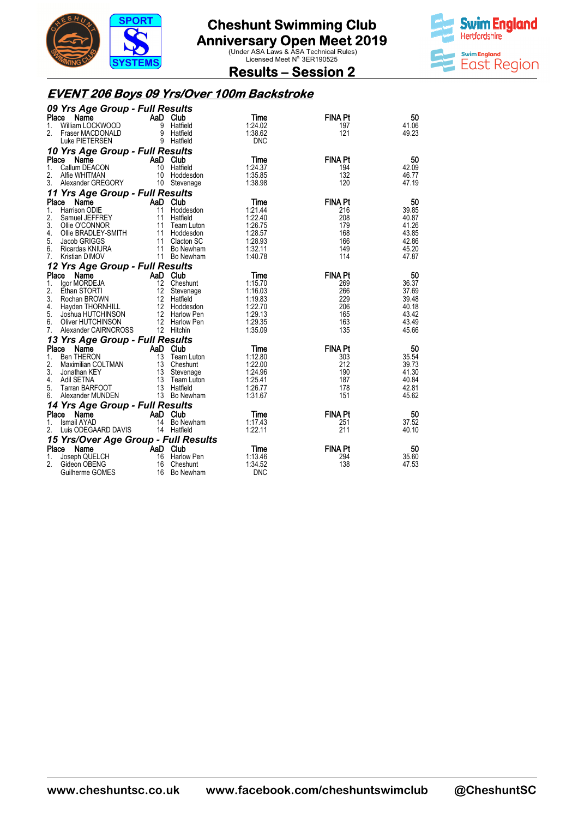



**Results – Session 2** 

### **EVENT 206 Boys 09 Yrs/Over 100m Backstroke**

|       | 09 Yrs Age Group - Full Results                                                                                   |                |               |            |                |       |
|-------|-------------------------------------------------------------------------------------------------------------------|----------------|---------------|------------|----------------|-------|
|       | Place<br>Name                                                                                                     | AaD Club       |               | Time       | <b>FINA Pt</b> | 50    |
| 1.    | William LOCKWOOD                                                                                                  |                | 9 Hatfield    | 1:24.02    | 197            | 41.06 |
| 2.    | Fraser MACDONALD                                                                                                  |                | 9 Hatfield    | 1:38.62    | 121            | 49.23 |
|       | Luke PIETERSEN                                                                                                    |                | 9 Hatfield    | <b>DNC</b> |                |       |
|       | 10 Yrs Age Group - Full Results                                                                                   |                |               |            |                |       |
| Place | Name                                                                                                              | AaD Club       |               | Time       | <b>FINA Pt</b> | 50    |
| 1.    | Callum DEACON                                                                                                     |                | 10 Hatfield   | 1:24.37    | 194            | 42.09 |
| 2.    | Alfie WHITMAN                                                                                                     |                | 10 Hoddesdon  | 1:35.85    | 132            | 46.77 |
|       | 3. Alexander GREGORY                                                                                              |                | 10 Stevenage  | 1:38.98    | 120            | 47.19 |
|       | 11 Yrs Age Group - Full Results                                                                                   |                |               |            |                |       |
|       | Place Name                                                                                                        | AaD Club       |               | Time       | <b>FINA Pt</b> | 50    |
| 1.    | Harrison ODIE                                                                                                     |                | Hoddesdon     | 1:21.44    | 216            | 39.85 |
| 2.    | Samuel JEFFREY                                                                                                    | $\frac{11}{2}$ | 11 Hatfield   | 1:22.40    | 208            | 40.87 |
| 3.    |                                                                                                                   |                |               | 1:26.75    | 179            | 41.26 |
| 4.    |                                                                                                                   |                |               | 1:28.57    | 168            | 43.85 |
| 5.    |                                                                                                                   |                |               | 1:28.93    | 166            | 42.86 |
| 6.    | Container Contract Contract of the BRADLEY-SMITH<br>Jacob GRIGGS 11 Hoddesdon<br>Ricardon KNUS<br>Ricardas KNIURA |                | 11 Bo Newham  | 1:32.11    | 149            | 45.20 |
| 7.    | Kristian DIMOV                                                                                                    |                | 11 Bo Newham  | 1:40.78    | 114            | 47.87 |
|       |                                                                                                                   |                |               |            |                |       |
|       | 12 Yrs Age Group - Full Results                                                                                   |                |               |            |                |       |
| Place | Name                                                                                                              | AaD Club       |               | Time       | <b>FINA Pt</b> | 50    |
| 1.    | lgor MORDEJA                                                                                                      |                | 12 Cheshunt   | 1:15.70    | 269            | 36.37 |
| 2.    | Ethan STORTI                                                                                                      |                | 12 Stevenage  | 1:16.03    | 266            | 37.69 |
| 3.    | Rochan BROWN<br>Rochan BROWN<br>Hayden THORNHILL 12 Hoddesdon<br>Joshua HUTCHINSON 12 Harlow Pen<br>12 Harlow Pen |                | 12 Hatfield   | 1:19.83    | 229            | 39.48 |
| 4.    |                                                                                                                   |                |               | 1:22.70    | 206            | 40.18 |
| 5.    |                                                                                                                   |                |               | 1:29.13    | 165            | 43.42 |
| 6.    | Oliver HUTCHINSON                                                                                                 |                | 12 Harlow Pen | 1:29.35    | 163            | 43.49 |
| 7.    | Alexander CAIRNCROSS                                                                                              |                | 12 Hitchin    | 1:35.09    | 135            | 45.66 |
|       | 13 Yrs Age Group - Full Results                                                                                   |                |               |            |                |       |
| Place | Name                                                                                                              | AaD Club       |               | Time       | <b>FINA Pt</b> | 50    |
| 1.    | <b>Ben THERON</b>                                                                                                 |                | 13 Team Luton | 1:12.80    | 303            | 35.54 |
| 2.    | Maximilian COLTMAN                                                                                                |                | 13 Cheshunt   | 1:22.00    | 212            | 39.73 |
| 3.    | Jonathan KEY                                                                                                      |                | 13 Stevenage  | 1:24.96    | 190            | 41.30 |
| 4.    | Adil SETNA                                                                                                        |                | 13 Team Luton | 1:25.41    | 187            | 40.84 |
| 5.    | Tarran BARFOOT                                                                                                    |                | 13 Hatfield   | 1:26.77    | 178            | 42.81 |
| 6.    | Alexander MUNDEN                                                                                                  |                | 13 Bo Newham  | 1:31.67    | 151            | 45.62 |
|       | 14 Yrs Age Group - Full Results                                                                                   |                |               |            |                |       |
|       | Place<br>Name                                                                                                     |                | AaD Club      | Time       | <b>FINA Pt</b> | 50    |
| 1.    | <b>Ismail AYAD</b>                                                                                                |                | 14 Bo Newham  | 1:17.43    | 251            | 37.52 |
| 2.    | Luis ODEGAARD DAVIS                                                                                               | 14 Hatfield    |               | 1:22.11    | 211            | 40.10 |
|       | 15 Yrs/Over Age Group - Full Results                                                                              |                |               |            |                |       |
| Place | Name                                                                                                              | AaD Club       |               | Time       | <b>FINA Pt</b> | 50    |
| 1.    | Joseph QUELCH                                                                                                     |                | 16 Harlow Pen | 1:13.46    | 294            | 35.60 |
| 2.    | Gideon OBENG                                                                                                      | 16             | Cheshunt      | 1:34.52    | 138            | 47.53 |
|       | Guilherme GOMES                                                                                                   | 16             | Bo Newham     | <b>DNC</b> |                |       |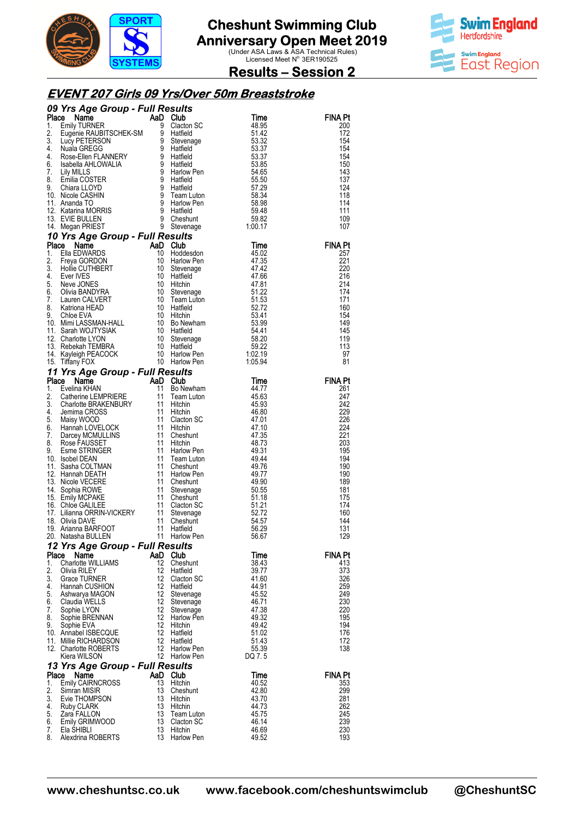

**Swim England Hertfordshire Swim England** East Region

**Results – Session 2** 

### **EVENT 207 Girls 09 Yrs/Over 50m Breaststroke**

|             | <b>COMPARENT CONSULTER SALE CORPORAGEM</b><br>1. Enlay TURNER<br>1. Engenie RAUBITSCHEK-SM 9 Clacton SC 48.95<br>2. Eugenie RAUBITSCHEK-SM 9 Hatfield<br>3. Lucy PETERSON 9 Stevenage<br>4. Nuala GREGG 9 Hatfield<br>6. Isabella AHLOWALIA 9 H         |          |                                 |                 |                |
|-------------|---------------------------------------------------------------------------------------------------------------------------------------------------------------------------------------------------------------------------------------------------------|----------|---------------------------------|-----------------|----------------|
|             |                                                                                                                                                                                                                                                         |          |                                 |                 | <b>FINA Pt</b> |
|             |                                                                                                                                                                                                                                                         |          |                                 |                 | 200<br>172     |
|             |                                                                                                                                                                                                                                                         |          |                                 |                 | 154            |
|             |                                                                                                                                                                                                                                                         |          |                                 |                 | 154            |
|             |                                                                                                                                                                                                                                                         |          |                                 |                 | 154            |
|             |                                                                                                                                                                                                                                                         |          |                                 |                 | 150            |
|             |                                                                                                                                                                                                                                                         |          |                                 |                 | 143<br>137     |
|             |                                                                                                                                                                                                                                                         |          |                                 |                 | 124            |
|             |                                                                                                                                                                                                                                                         |          |                                 |                 | 118            |
|             |                                                                                                                                                                                                                                                         |          |                                 |                 | 114            |
|             |                                                                                                                                                                                                                                                         |          |                                 |                 | 111            |
|             |                                                                                                                                                                                                                                                         |          |                                 |                 | 109            |
|             | All Everyon PRIEST<br>1. Negan PRIEST<br>1. EVIE BULLEN<br>1. Megan PRIEST<br>1. EVIE BULLEN<br>1. EVIE BULLEN<br>1. EVIE BUNARDS<br>1. Time<br>1. CHARD 45.02<br>Freya GORDON<br>1. 1. Hardcorn<br>Seve JONES<br>1. O Stevenage<br>1. O Stevenage<br>1 |          |                                 |                 | 107            |
|             |                                                                                                                                                                                                                                                         |          |                                 |                 | <b>FINA Pt</b> |
|             |                                                                                                                                                                                                                                                         |          |                                 |                 | 257            |
|             |                                                                                                                                                                                                                                                         |          |                                 |                 | 221            |
|             |                                                                                                                                                                                                                                                         |          |                                 |                 | 220            |
|             |                                                                                                                                                                                                                                                         |          |                                 |                 | 216            |
|             |                                                                                                                                                                                                                                                         |          |                                 |                 | 214<br>174     |
|             |                                                                                                                                                                                                                                                         |          |                                 |                 | 171            |
|             |                                                                                                                                                                                                                                                         |          |                                 |                 | 160            |
|             |                                                                                                                                                                                                                                                         |          |                                 |                 | 154            |
|             |                                                                                                                                                                                                                                                         |          |                                 |                 | 149            |
|             |                                                                                                                                                                                                                                                         |          |                                 |                 | 145<br>119     |
|             |                                                                                                                                                                                                                                                         |          |                                 |                 | 113            |
|             |                                                                                                                                                                                                                                                         |          |                                 |                 | 97             |
|             |                                                                                                                                                                                                                                                         |          |                                 |                 | 81             |
|             | 15. Tiffany FOX<br>16. Tiffany FOX<br>10. Harlow Pen<br>11 <b>Yrs Age Group - Full Results</b><br>20. Catherine LEMPRIERE<br>2. Catherine LEMPRIERE<br>2. Catherine LEMPRIERE<br>3. Charlotte BRAKENBURY<br>11 Hitchin<br>4. Jemima GROSS<br>5. Maisy W |          |                                 |                 |                |
|             |                                                                                                                                                                                                                                                         |          |                                 |                 | <b>FINA Pt</b> |
|             |                                                                                                                                                                                                                                                         |          |                                 |                 | 261            |
|             |                                                                                                                                                                                                                                                         |          |                                 | 45.63<br>45.93  | 247<br>242     |
|             |                                                                                                                                                                                                                                                         |          |                                 | 46.80           | 229            |
|             |                                                                                                                                                                                                                                                         |          |                                 | 47.01           | 226            |
|             |                                                                                                                                                                                                                                                         |          |                                 | 47.10           | 224            |
|             |                                                                                                                                                                                                                                                         |          |                                 | 47.35           | 221            |
|             |                                                                                                                                                                                                                                                         |          |                                 | 48.73<br>49.31  | 203<br>195     |
|             |                                                                                                                                                                                                                                                         |          |                                 | 49.44           | 194            |
|             |                                                                                                                                                                                                                                                         |          |                                 | 49.76           | 190            |
|             |                                                                                                                                                                                                                                                         |          |                                 | 49.77           | 190            |
|             |                                                                                                                                                                                                                                                         |          |                                 | 49.90           | 189            |
|             |                                                                                                                                                                                                                                                         |          |                                 | 50.55<br>51.18  | 181<br>175     |
|             |                                                                                                                                                                                                                                                         |          |                                 | 51.21           | 174            |
|             |                                                                                                                                                                                                                                                         |          |                                 | 52.72           | 160            |
|             |                                                                                                                                                                                                                                                         |          |                                 | 54.57           | 144            |
|             |                                                                                                                                                                                                                                                         |          |                                 | 56.29           | 131            |
|             |                                                                                                                                                                                                                                                         |          |                                 | 56.67           | 129            |
|             | 12 Yrs Age Group - Full Results                                                                                                                                                                                                                         |          | AaD Club                        |                 |                |
| Place<br>1. | Name<br><b>Charlotte WILLIAMS</b>                                                                                                                                                                                                                       | 12       | Cheshunt                        | Time<br>38.43   | FINA Pt<br>413 |
| 2.          | Olivia RILEY                                                                                                                                                                                                                                            | 12.      | Hatfield                        | 39.77           | 373            |
| 3.          | <b>Grace TURNER</b>                                                                                                                                                                                                                                     | 12       | Clacton SC                      | 41.60           | 326            |
| 4.          | Hannah CUSHION                                                                                                                                                                                                                                          | 12       | Hatfield                        | 44.91           | 259            |
| 5.          | Ashwarya MAGON                                                                                                                                                                                                                                          | 12       | Stevenage                       | 45.52           | 249            |
| 6.<br>7.    | Claudia WELLS                                                                                                                                                                                                                                           | 12<br>12 | Stevenage<br>Stevenage          | 46.71<br>47.38  | 230<br>220     |
| 8.          | Sophie LYON<br>Sophie BRENNAN                                                                                                                                                                                                                           | 12       | Harlow Pen                      | 49.32           | 195            |
| 9.          | Sophie EVA                                                                                                                                                                                                                                              | 12       | Hitchin                         | 49.42           | 194            |
|             | 10. Annabel ISBECQUE                                                                                                                                                                                                                                    | 12       | Hatfield                        | 51.02           | 176            |
|             | 11. Millie RICHARDSON                                                                                                                                                                                                                                   | 12       | Hatfield                        | 51.43           | 172            |
|             | 12. Charlotte ROBERTS<br>Kiera WILSON                                                                                                                                                                                                                   | 12<br>12 | Harlow Pen<br><b>Harlow Pen</b> | 55.39<br>DQ 7.5 | 138            |
|             | 13 Yrs Age Group - Full Results                                                                                                                                                                                                                         |          |                                 |                 |                |
| Place       | Name                                                                                                                                                                                                                                                    |          | AaD Club                        | Time            | <b>FINA Pt</b> |
| 1.          | <b>Emily CAIRNCROSS</b>                                                                                                                                                                                                                                 | 13       | Hitchin                         | 40.52           | 353            |
| 2.          | Simran MISIR                                                                                                                                                                                                                                            | 13       | Cheshunt                        | 42.80           | 299            |
| 3.          | Evie THOMPSON                                                                                                                                                                                                                                           | 13       | Hitchin                         | 43.70           | 281            |
| 4.<br>5.    | <b>Ruby CLARK</b>                                                                                                                                                                                                                                       | 13<br>13 | Hitchin                         | 44.73           | 262<br>245     |
| 6.          | Zara FALLON<br>Emily GRIMWOOD                                                                                                                                                                                                                           | 13       | Team Luton<br>Clacton SC        | 45.75<br>46.14  | 239            |
| 7.          | Ela SHIBLI                                                                                                                                                                                                                                              | 13       | Hitchin                         | 46.69           | 230            |
| 8.          | Alexdrina ROBERTS                                                                                                                                                                                                                                       | 13       | Harlow Pen                      | 49.52           | 193            |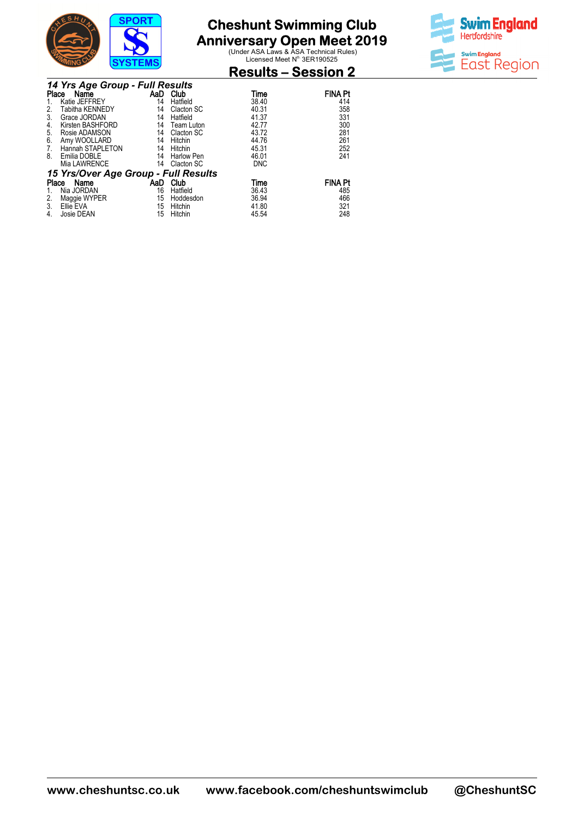

**Anniversary Open Meet 2019**<br>
Under ASA Laws & ASA Technical Rules)<br>
Licensed Meet N<sup>o.</sup> 3ER190525



### **Results – Session 2**

|       | 14 Yrs Age Group - Full Results      |     |                   |            |                |  |  |  |
|-------|--------------------------------------|-----|-------------------|------------|----------------|--|--|--|
| Place | Name                                 |     | AaD Club          | Time       | <b>FINA Pt</b> |  |  |  |
|       | Katie JEFFREY                        | 14  | Hatfield          | 38.40      | 414            |  |  |  |
| 2.    | Tabitha KENNEDY                      | 14  | Clacton SC        | 40.31      | 358            |  |  |  |
| 3.    | Grace JORDAN                         | 14  | Hatfield          | 41.37      | 331            |  |  |  |
| 4.    | Kirsten BASHFORD                     | 14  | Team Luton        | 42.77      | 300            |  |  |  |
| 5.    | Rosie ADAMSON                        | 14  | Clacton SC        | 43.72      | 281            |  |  |  |
| 6.    | Amy WOOLLARD                         | 14  | Hitchin           | 44.76      | 261            |  |  |  |
| 7.    | Hannah STAPLETON                     | 14  | Hitchin           | 45.31      | 252            |  |  |  |
| 8.    | Emilia DOBLE                         | 14  | <b>Harlow Pen</b> | 46.01      | 241            |  |  |  |
|       | Mia LAWRENCE                         | 14  | Clacton SC        | <b>DNC</b> |                |  |  |  |
|       | 15 Yrs/Over Age Group - Full Results |     |                   |            |                |  |  |  |
| Place | Name                                 | AaD | Club              | Time       | <b>FINA Pt</b> |  |  |  |
|       | Nia JORDAN                           | 16  | Hatfield          | 36.43      | 485            |  |  |  |
| 2.    | Maggie WYPER                         | 15  | Hoddesdon         | 36.94      | 466            |  |  |  |
| 3.    | Ellie EVA                            | 15  | Hitchin           | 41.80      | 321            |  |  |  |
| 4.    | Josie DEAN                           | 15  | Hitchin           | 45.54      | 248            |  |  |  |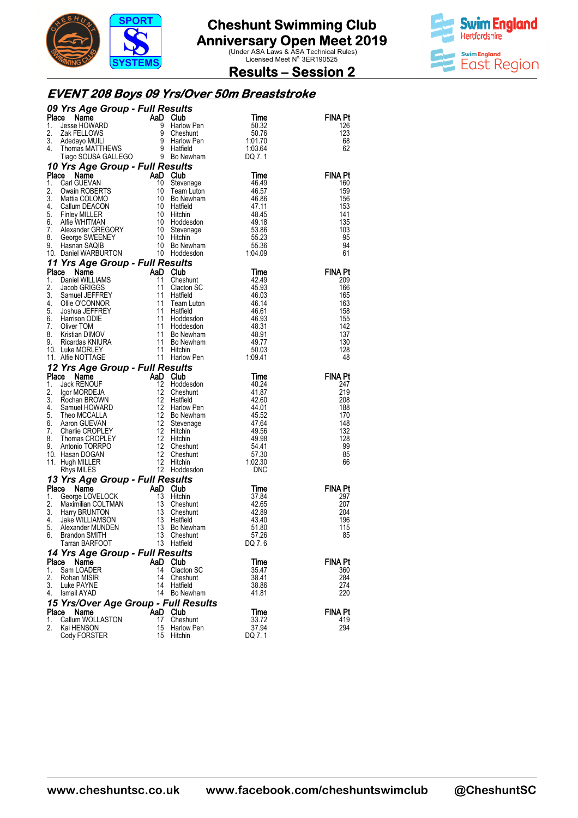



### **Results – Session 2**

#### **EVENT 208 Boys 09 Yrs/Over 50m Breaststr Breaststroke**

|          | 09 Yrs Age Group - Full Results                                                                                                                                                                                                |                                                                             |                              |                  |                |
|----------|--------------------------------------------------------------------------------------------------------------------------------------------------------------------------------------------------------------------------------|-----------------------------------------------------------------------------|------------------------------|------------------|----------------|
| Place    | Compared to the Manne Manufacture of Manne Manufacture of the State Howard of the Manufacture of the Manufacture of the Manufacture of the Manufacture of the Manufacture of the Manufacture of the Manufacture of the Manufac |                                                                             |                              | Time             | FINA Pt        |
| 1.       |                                                                                                                                                                                                                                |                                                                             | Harlow Pen                   | 50.32            | 126            |
| 2.<br>3. |                                                                                                                                                                                                                                |                                                                             |                              | 50.76<br>1:01.70 | 123<br>68      |
| 4.       |                                                                                                                                                                                                                                |                                                                             |                              | 1:03.64          | 62             |
|          | Tiago SOUSA GALLEGO 9 Bo Newham                                                                                                                                                                                                |                                                                             |                              | DQ 7.1           |                |
|          | 10 Yrs Age Group - Full Results                                                                                                                                                                                                |                                                                             |                              |                  |                |
| Place    | Name                                                                                                                                                                                                                           | AaD                                                                         | Club                         | <b>Time</b>      | <b>FINA Pt</b> |
| 1.       | Carl GUEVAN                                                                                                                                                                                                                    | 10                                                                          | Stevenage                    | 46.49            | 160            |
| 2.<br>3. | Owain ROBERTS<br>Mattia COLOMO                                                                                                                                                                                                 | 10<br>-10                                                                   | Team Luton<br>Bo Newham      | 46.57<br>46.86   | 159<br>156     |
| 4.       | Callum DEACON                                                                                                                                                                                                                  | 10                                                                          | Hatfield                     | 47.11            | 153            |
| 5.       |                                                                                                                                                                                                                                |                                                                             | Hitchin                      | 48.45            | 141            |
| 6.       | Callum DEACON<br>Finley MILLER<br>Alfie WHITMAN<br>Alexander GREGORY<br>George SWEENEY 10<br>Hasnan SAQIB 10                                                                                                                   |                                                                             | Hoddesdon                    | 49.18            | 135            |
| 7.       |                                                                                                                                                                                                                                |                                                                             | Stevenage                    | 53.86            | 103            |
| 8.<br>9. | Hasnan SAQIB                                                                                                                                                                                                                   | -10                                                                         | Hitchin<br>Bo Newham         | 55.23<br>55.36   | 95<br>94       |
|          | 9. Trashari SAQID<br>10. Daniel WARBURTON 10 Hoddesdon                                                                                                                                                                         |                                                                             |                              | 1:04.09          | 61             |
|          | 11 Yrs Age Group - Full Results                                                                                                                                                                                                |                                                                             |                              |                  |                |
| Place    | Name                                                                                                                                                                                                                           | AaD                                                                         | Club                         | Time             | FINA Pt        |
| 1.       | Daniel WILLIAMS                                                                                                                                                                                                                | 11                                                                          | Cheshunt                     | 42.49            | 209            |
| 2.       | Jacob GRIGGS                                                                                                                                                                                                                   | 11                                                                          | Clacton SC                   | 45.93            | 166            |
| 3.<br>4. | Samuel JEFFREY<br>Olio O'CONNOP                                                                                                                                                                                                | 11<br>11                                                                    | Hatfield                     | 46.03<br>46.14   | 165<br>163     |
| 5.       | Ollie O'CONNOR<br>Joshua JEFFREY                                                                                                                                                                                               |                                                                             | Team Luton<br>Hatfield       | 46.61            | 158            |
| 6.       | Harrison ODIE                                                                                                                                                                                                                  |                                                                             | Hoddesdon                    | 46.93            | 155            |
| 7.       | Oliver TOM                                                                                                                                                                                                                     |                                                                             | Hoddesdon                    | 48.31            | 142            |
| 8.       | Kristian DIMOV                                                                                                                                                                                                                 | $\begin{array}{c} 11 \\ 11 \\ 11 \\ 11 \\ 11 \\ 11 \\ 11 \\ 11 \end{array}$ | Bo Newham                    | 48.91            | 137            |
| 9.       | Ricardas KNIURA<br>10. Luke MORLEY                                                                                                                                                                                             |                                                                             | <b>Bo Newham</b><br>Hitchin  | 49.77<br>50.03   | 130<br>128     |
|          | 11. Alfie NOTTAGE                                                                                                                                                                                                              |                                                                             | 11 Harlow Pen                | 1:09.41          | 48             |
|          | 12 Yrs Age Group - Full Results                                                                                                                                                                                                |                                                                             |                              |                  |                |
| Place    | Name                                                                                                                                                                                                                           | AaD                                                                         | Club                         | Time             | FINA Pt        |
| 1.       | Jack RENOUF                                                                                                                                                                                                                    | 12                                                                          | Hoddesdon                    | 40.24            | 247            |
| 2.       | Igor MORDEJA                                                                                                                                                                                                                   | 12                                                                          | Cheshunt                     | 41.87            | 219            |
| 3.<br>4. | Rochan BROWN<br>Samuel HOWARD                                                                                                                                                                                                  | 12<br>12                                                                    | Hatfield<br>Harlow Pen       | 42.60<br>44.01   | 208<br>188     |
| 5.       | Theo MCCALLA                                                                                                                                                                                                                   | - 12                                                                        | Bo Newham                    | 45.52            | 170            |
| 6.       | Aaron GUEVAN                                                                                                                                                                                                                   | 12                                                                          | Stevenage                    | 47.64            | 148            |
| 7.       | Charlie CROPLEY                                                                                                                                                                                                                | 12                                                                          | Hitchin                      | 49.56            | 132            |
| 8.       | Thomas CROPLEY                                                                                                                                                                                                                 | 12                                                                          | Hitchin                      | 49.98            | 128            |
| 9.       | Antonio TORRPO<br>10. Hasan DOGAN                                                                                                                                                                                              |                                                                             | Cheshunt<br>Cheshunt         | 54.41<br>57.30   | 99<br>85       |
|          | 11. Hugh MILLER                                                                                                                                                                                                                |                                                                             | Hitchin                      | 1:02.30          | 66             |
|          | Rhys MILES                                                                                                                                                                                                                     | $\begin{array}{c} 12 \\ 12 \\ 12 \\ 12 \\ 12 \end{array}$                   | 12 Hoddesdon                 | <b>DNC</b>       |                |
|          | 13 Yrs Age Group - Full Results                                                                                                                                                                                                |                                                                             |                              |                  |                |
| Place    | Name                                                                                                                                                                                                                           | AaD                                                                         | Club                         | Time             | FINA Pt        |
| 1.       | George LOVELOCK                                                                                                                                                                                                                | 13                                                                          | Hitchin                      | 37.84            | 297            |
| 2.<br>3. | Maximilian COLTMAN<br>Harry BRUNTON                                                                                                                                                                                            | 13<br>$\frac{13}{2}$                                                        | Cheshunt                     | 42.65<br>42.89   | 207<br>204     |
| 4.       | Jake WILLIAMSON                                                                                                                                                                                                                | 13                                                                          | Cheshunt<br>Hatfield         | 43.40            | 196            |
| 5.       | Alexander MUNDEN                                                                                                                                                                                                               | 13                                                                          | Bo Newham                    | 51.80            | 115            |
| 6.       | Brandon SMITH                                                                                                                                                                                                                  | 13                                                                          | Cheshunt                     | 57.26            | 85             |
|          | Tarran BARFOOT                                                                                                                                                                                                                 | 13                                                                          | Hatfield                     | DQ 7.6           |                |
|          |                                                                                                                                                                                                                                |                                                                             |                              |                  |                |
|          | 14 Yrs Age Group - Full Results                                                                                                                                                                                                |                                                                             |                              |                  |                |
|          | Place<br>Name                                                                                                                                                                                                                  | AaD                                                                         | <b>Club</b>                  | Time             | FINA Pt        |
| 1.       | Sam LOADER                                                                                                                                                                                                                     | 14                                                                          | Clacton SC                   | 35.47            | 360            |
| 2.<br>3. | Rohan MISIR<br>Luke PAYNE                                                                                                                                                                                                      | 14<br>14                                                                    | Cheshunt<br>Hatfield         | 38.41<br>38.86   | 284<br>274     |
| 4.       | Ismail AYAD                                                                                                                                                                                                                    | 14                                                                          | Bo Newham                    | 41.81            | 220            |
|          | 15 Yrs/Over Age Group - Full Results                                                                                                                                                                                           |                                                                             |                              |                  |                |
| Place    | Name                                                                                                                                                                                                                           | AaD                                                                         | Club                         | Time             | FINA Pt        |
| 1.       | Callum WOLLASTON                                                                                                                                                                                                               | 17                                                                          | Cheshunt                     | 33.72            | 419            |
| 2.       | Kai HENSON<br>Cody FORSTER                                                                                                                                                                                                     | 15<br>15                                                                    | <b>Harlow Pen</b><br>Hitchin | 37.94<br>DQ 7.1  | 294            |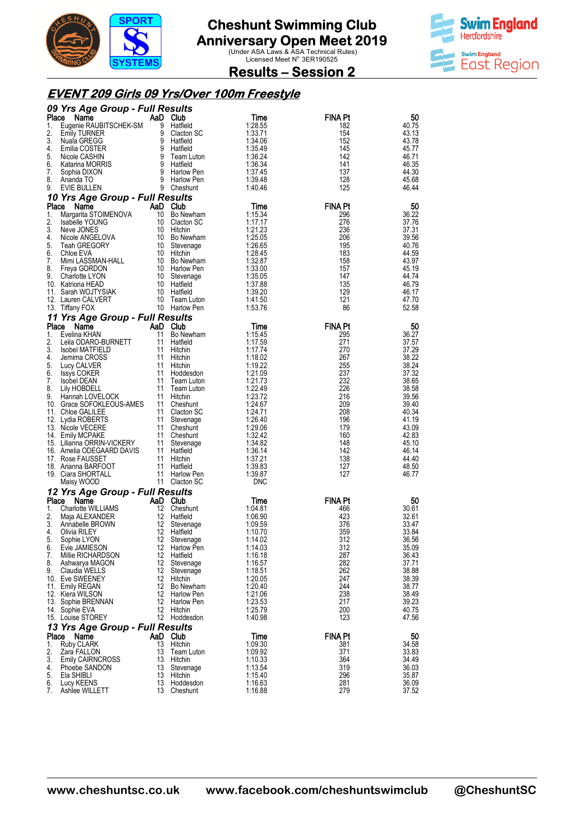



**Results – Session 2** 

### **EVENT 209 Girls 09 Yrs/Over 100m Freestyle**

|             | 09 Yrs Age Group - Full Results                         |           |                                                  |                       |                |                |
|-------------|---------------------------------------------------------|-----------|--------------------------------------------------|-----------------------|----------------|----------------|
| Place       | Name                                                    |           | AaD Club                                         | Time                  | <b>FINA Pt</b> | 50             |
| 1.          | Eugenie RAUBITSCHEK-SM                                  |           | 9 Hatfield                                       | 1:28.55               | 182            | 40.75          |
| 2.<br>3.    | <b>Emily TURNER</b><br>Nuala GREGG                      |           | 9 Clacton SC<br>یں 9<br>S Hatfield<br>S Hatfield | 1:33.71<br>1:34.06    | 154<br>152     | 43.13<br>43.78 |
| 4.          | Emilia COSTER                                           |           | 9 Hatfield                                       | 1:35.49               | 145            | 45.77          |
| 5.          | Nicole CASHIN                                           |           | 9 Team Luton                                     | 1:36.24               | 142            | 46.71          |
| 6.          | Katarina MORRIS                                         |           | 9 Hatfield                                       | 1:36.34               | 141            | 46.35          |
| 7.          | Sophia DIXON                                            |           | 9 Harlow Pen                                     | 1:37.45               | 137            | 44.30          |
| 8.          | Ananda TO                                               |           | 9 Harlow Pen                                     | 1:39.48               | 128            | 45.68          |
| 9.          | EVIE BULLEN                                             |           | 9 Cheshunt                                       | 1:40.46               | 125            | 46.44          |
| Place       | 10 Yrs Age Group - Full Results<br>Name                 |           | AaD Club                                         | Time                  | <b>FINA Pt</b> | 50             |
| 1.          | Margarita STOIMENOVA                                    | 10        | Bo Newham                                        | 1:15.34               | 296            | 36.22          |
| 2.          | Isabelle YOUNG                                          |           | 10 Clacton SC                                    | 1:17.17               | 276            | 37.76          |
| 3.          | Neve JONES                                              |           | 10 Hitchin                                       | 1:21.23               | 236            | 37.31          |
| 4.          | Nicole ANGELOVA                                         |           | 10 Bo Newham                                     | 1:25.05               | 206            | 39.56          |
| 5.<br>6.    | Teah GREGORY<br>Chloe EVA                               |           | 10 Stevenage<br>10 Hitchin                       | 1:26.65<br>1:28.45    | 195<br>183     | 40.76<br>44.59 |
| 7.          | Mimi LASSMAN-HALL                                       |           | 10 Bo Newham                                     | 1:32.87               | 158            | 43.97          |
| 8.          | Freya GORDON                                            |           | 10 Harlow Pen                                    | 1:33.00               | 157            | 45.19          |
| 9.          | Charlotte LYON                                          |           | 10 Stevenage                                     | 1:35.05               | 147            | 44.74          |
|             | 10. Katriona HEAD                                       |           | 10 Hatfield                                      | 1:37.88               | 135            | 46.79          |
|             | 11. Sarah WOJTYSIAK                                     |           | 10 Hatfield                                      | 1:39.20<br>1:41.50    | 129            | 46.17          |
|             | 12. Lauren CALVERT<br>13. Tittany FOX                   | 10        | Team Luton<br>10 Harlow Pen                      | 1:53.76               | 121<br>86      | 47.70<br>52.58 |
|             | 11 Yrs Age Group - Full Results                         |           |                                                  |                       |                |                |
| Place       | Name                                                    |           | AaD Club                                         | Time                  | <b>FINA Pt</b> | 50             |
| 1.          | Evelina KHAN                                            | 11        | Bo Newham                                        | 1:15.45               | 295            | 36.27          |
| 2.          | Leila ODARO-BURNETT                                     |           | 11 Hatfield                                      | 1:17.59               | 271            | 37.57          |
| 3.          | <b>Isobel MATFIELD</b>                                  |           | 11 Hitchin                                       | 1:17.74               | 270            | 37.29          |
| 4.          | Jemima CROSS                                            |           | 11 Hitchin                                       | 1:18.02               | 267            | 38.22          |
| 5.<br>6.    | Lucy CALVER                                             | 11        | 11 Hitchin                                       | 1:19.22<br>1:21.09    | 255<br>237     | 38.24          |
| 7.          | Issys COKER<br>Isobel DEAN                              |           | Hoddesdon<br>11 Team Luton                       | 1:21.73               | 232            | 37.32<br>38.65 |
| 8.          | Lily HOBDELL                                            |           | 11 Team Luton                                    | 1:22.49               | 226            | 38.58          |
| 9.          | Hannah LOVELOCK                                         | 11        | Hitchin                                          | 1:23.72               | 216            | 39.56          |
|             | 10. Grace SOFOKLEOUS-AMES                               |           | 11 Cheshunt                                      | 1:24.67               | 209            | 39.40          |
|             | 11. Chloe GALILEE                                       |           | 11 Clacton SC                                    | 1:24.71               | 208            | 40.34          |
|             | 12. Lydia ROBERTS<br>13. Nicole VECERE                  | 11        | Stevenage<br>11 Cheshunt                         | 1:26.40<br>1:29.06    | 196<br>179     | 41.19<br>43.09 |
|             | 14. Emily MCPAKE                                        |           | 11 Cheshunt                                      | 1:32.42               | 160            | 42.83          |
|             | 15. Lilianna ORRIN-VICKERY<br>16. Amelia ODEGAARD DAVIS | 11        | Stevenage                                        | 1:34.82               | 148            | 45.10          |
|             | 16. Amelia ODEGAARD DAVIS                               |           | 11 Hatfield                                      | 1:36.14               | 142            | 46.14          |
|             | 17. Rose FAUSSET                                        |           | 11 Hitchin                                       | 1:37.21               | 138            | 44.40          |
|             | 18. Arianna BARFOOT                                     | 11        | Hatfield                                         | 1:39.83               | 127            | 48.50          |
|             | 19. Ciara SHORTALL<br>Maisy WOOD                        |           | 11 Harlow Pen<br>11 Clacton SC                   | 1:39.87<br><b>DNC</b> | 127            | 46.77          |
|             | 12 Yrs Age Group - Full Results                         |           |                                                  |                       |                |                |
| Place       | Name                                                    |           | AaD Club                                         | Time                  | <b>FINA Pt</b> | 50             |
| 1.          | Charlotte WILLIAMS                                      |           | 12 Cheshunt                                      | 1:04.81               | 466            | 30.61          |
| 2.          | Maja ALEXANDER                                          |           | 12 Hatfield                                      | 1:06.90               | 423            | 32.61          |
| 3.<br>4.    | Annabelle BROWN<br>Olivia RILEY                         | -12<br>12 | Stevenage<br>Hatfield                            | 1:09.59<br>1:10.70    | 376<br>359     | 33.47<br>33.84 |
| 5.          | Sophie LYON                                             |           | 12 Stevenage                                     | 1:14.02               | 312            | 36.56          |
| 6.          | Evie JAMIESON                                           |           | 12 Harlow Pen                                    | 1:14.03               | 312            | 35.09          |
| 7.          | Millie RICHARDSON                                       |           | 12 Hatfield                                      | 1:16.18               | 287            | 36.43          |
| 8.          | Ashwarya MAGON                                          | 12        | Stevenage                                        | 1:16.57               | 282            | 37.71          |
| 9.          | Claudia WELLS                                           | 12        | Stevenage                                        | 1:18.51               | 262<br>247     | 38.88<br>38.39 |
|             | 10. Eve SWEENEY<br>11. Emily REGAN                      |           | 12 Hitchin<br>12 Bo Newham                       | 1:20.05<br>1:20.40    | 244            | 38.77          |
|             | 12. Kiera WILSON                                        |           | 12 Harlow Pen                                    | 1:21.06               | 238            | 38.49          |
|             | 13. Sophie BRENNAN                                      |           | 12 Harlow Pen                                    | 1:23.53               | 217            | 39.23          |
|             | 14. Sophie EVA                                          |           | 12 Hitchin                                       | 1:25.79               | 200            | 40.75          |
|             | 15. Louise STOREY                                       |           | 12 Hoddesdon                                     | 1:40.98               | 123            | 47.56          |
|             | 13 Yrs Age Group - Full Results                         |           |                                                  |                       |                |                |
| Place<br>1. | Name<br><b>Ruby CLARK</b>                               | 13        | AaD Club<br>Hitchin                              | Time<br>1:09.30       | <b>FINA Pt</b> | 50<br>34.58    |
| 2.          | Zara FALLON                                             | 13        | Team Luton                                       | 1:09.92               | 381<br>371     | 33.83          |
| 3.          | <b>Emily CAIRNCROSS</b>                                 | 13        | Hitchin                                          | 1:10.33               | 364            | 34.49          |
| 4.          | Phoebe SANDON                                           | 13        | Stevenage                                        | 1:13.54               | 319            | 36.03          |
| 5.          | Ela SHIBLI                                              | 13        | Hitchin                                          | 1:15.40               | 296            | 35.87          |
| 6.<br>7.    | Lucy KEENS<br>Ashlee WILLETT                            | 13<br>13  | Hoddesdon<br>Cheshunt                            | 1:16.63<br>1:16.88    | 281<br>279     | 36.09<br>37.52 |
|             |                                                         |           |                                                  |                       |                |                |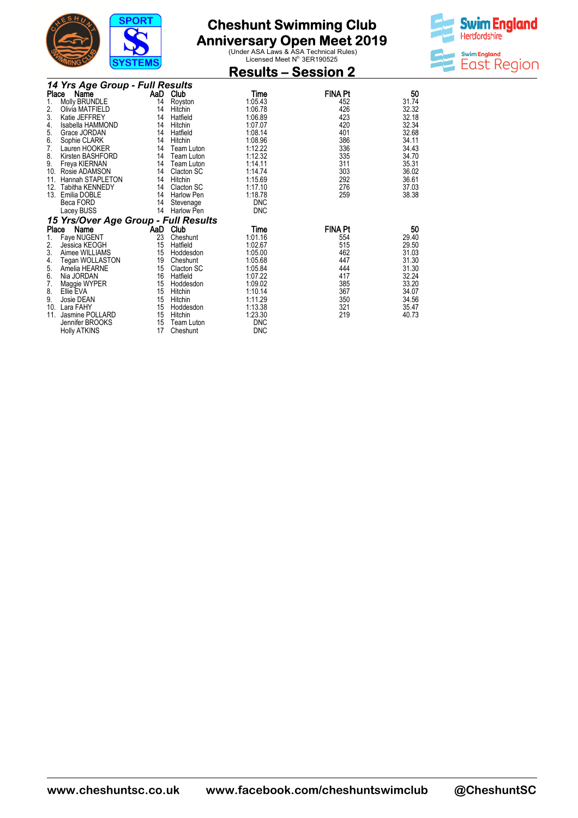

**Anniversary Open Meet 2019**<br>
Under ASA Laws & ASA Technical Rules)<br>
Licensed Meet N<sup>o.</sup> 3ER190525



|                                 |                                      | 0101LMJ |                   | <b>Results – Session 2</b> |                |       |  |  |  |  |  |
|---------------------------------|--------------------------------------|---------|-------------------|----------------------------|----------------|-------|--|--|--|--|--|
| 14 Yrs Age Group - Full Results |                                      |         |                   |                            |                |       |  |  |  |  |  |
| Place                           | Name                                 | AaD     | Club              | Time                       | <b>FINA Pt</b> | 50    |  |  |  |  |  |
| 1.                              | Molly BRUNDLE                        | 14      | Royston           | 1:05.43                    | 452            | 31.74 |  |  |  |  |  |
| 2.                              | Olivia MATFIELD                      | 14      | Hitchin           | 1:06.78                    | 426            | 32.32 |  |  |  |  |  |
| 3.                              | Katie JEFFREY                        | 14      | Hatfield          | 1:06.89                    | 423            | 32.18 |  |  |  |  |  |
| 4.                              | Isabella HAMMOND                     | 14      | Hitchin           | 1:07.07                    | 420            | 32.34 |  |  |  |  |  |
| 5.                              | Grace JORDAN                         | 14      | Hatfield          | 1:08.14                    | 401            | 32.68 |  |  |  |  |  |
| 6.                              | Sophie CLARK                         | 14      | Hitchin           | 1:08.96                    | 386            | 34.11 |  |  |  |  |  |
| 7.                              | Lauren HOOKER                        | 14      | <b>Team Luton</b> | 1:12.22                    | 336            | 34.43 |  |  |  |  |  |
| 8.                              | Kirsten BASHFORD                     | 14      | Team Luton        | 1:12.32                    | 335            | 34.70 |  |  |  |  |  |
| 9.                              | Freya KIERNAN                        | 14      | <b>Team Luton</b> | 1:14.11                    | 311            | 35.31 |  |  |  |  |  |
|                                 | 10. Rosie ADAMSON                    | 14      | Clacton SC        | 1:14.74                    | 303            | 36.02 |  |  |  |  |  |
| 11.                             | Hannah STAPLETON                     | 14      | Hitchin           | 1:15.69                    | 292            | 36.61 |  |  |  |  |  |
| 12.                             | Tabitha KENNEDY                      | 14      | Clacton SC        | 1:17.10                    | 276            | 37.03 |  |  |  |  |  |
| 13.                             | Emilia DOBLE                         | 14      | <b>Harlow Pen</b> | 1:18.78                    | 259            | 38.38 |  |  |  |  |  |
|                                 | Beca FORD                            | 14      | Stevenage         | <b>DNC</b>                 |                |       |  |  |  |  |  |
|                                 | Lacey BUSS                           | 14      | Harlow Pen        | <b>DNC</b>                 |                |       |  |  |  |  |  |
|                                 | 15 Yrs/Over Age Group - Full Results |         |                   |                            |                |       |  |  |  |  |  |
| Place                           | Name                                 |         | AaD Club          | Time                       | <b>FINA Pt</b> | 50    |  |  |  |  |  |
| 1.                              | Faye NUGENT                          | 23      | Cheshunt          | 1:01.16                    | 554            | 29.40 |  |  |  |  |  |
| 2.                              | Jessica KEOGH                        | 15      | Hatfield          | 1:02.67                    | 515            | 29.50 |  |  |  |  |  |
| 3.                              | Aimee WILLIAMS                       | 15      | Hoddesdon         | 1:05.00                    | 462            | 31.03 |  |  |  |  |  |
| 4.                              | Tegan WOLLASTON                      | 19      | Cheshunt          | 1:05.68                    | 447            | 31.30 |  |  |  |  |  |
| 5.                              | Amelia HEARNE                        | 15      | Clacton SC        | 1:05.84                    | 444            | 31.30 |  |  |  |  |  |
| 6.                              | Nia JORDAN                           | 16      | Hatfield          | 1:07.22                    | 417            | 32.24 |  |  |  |  |  |
| 7.                              | Maggie WYPER                         | 15      | Hoddesdon         | 1:09.02                    | 385            | 33.20 |  |  |  |  |  |
| 8.                              | Ellie EVA                            | 15      | Hitchin           | 1:10.14                    | 367            | 34.07 |  |  |  |  |  |
| 9.                              | Josie DEAN                           | 15      | Hitchin           | 1:11.29                    | 350            | 34.56 |  |  |  |  |  |
|                                 | 10. Lara FAHY                        | 15      | Hoddesdon         | 1:13.38                    | 321            | 35.47 |  |  |  |  |  |
| 11.                             | Jasmine POLLARD                      | 15      | Hitchin           | 1:23.30                    | 219            | 40.73 |  |  |  |  |  |
|                                 | Jennifer BROOKS                      | 15      | Team Luton        | <b>DNC</b>                 |                |       |  |  |  |  |  |
|                                 | <b>Holly ATKINS</b>                  | 17      | Cheshunt          | <b>DNC</b>                 |                |       |  |  |  |  |  |